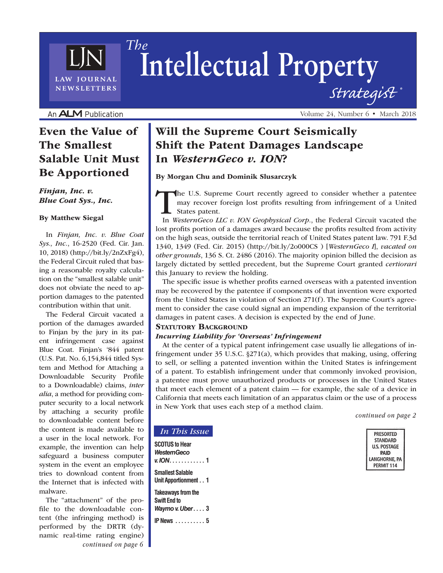# **Intellectual Property** *Strategist ® The*

An ALM Publication

LAW JOURNAL **NEWSLETTERS** 

# Even the Value of The Smallest Salable Unit Must Be Apportioned

### *Finjan, Inc. v. Blue Coat Sys., Inc.*

#### By Matthew Siegal

In *Finjan, Inc. v. Blue Coat Sys., Inc.*, 16-2520 (Fed. Cir. Jan. 10, 2018) (http://bit.ly/2nZxFg4), the Federal Circuit ruled that basing a reasonable royalty calculation on the "smallest salable unit" does not obviate the need to apportion damages to the patented contribution within that unit.

The Federal Circuit vacated a portion of the damages awarded to Finjan by the jury in its patent infringement case against Blue Coat. Finjan's '844 patent (U.S. Pat. No. 6,154,844 titled System and Method for Attaching a Downloadable Security Profile to a Downloadable) claims, *inter alia*, a method for providing computer security to a local network by attaching a security profile to downloadable content before the content is made available to a user in the local network. For example, the invention can help safeguard a business computer system in the event an employee tries to download content from the Internet that is infected with malware.

The "attachment" of the profile to the downloadable content (the infringing method) is performed by the DRTR (dynamic real-time rating engine) *continued on page 6*

# Will the Supreme Court Seismically Shift the Patent Damages Landscape In *WesternGeco v. ION*?

#### By Morgan Chu and Dominik Slusarczyk

The U.S. Supreme Court recently agreed to consider whether a patentee may recover foreign lost profits resulting from infringement of a United States patent.

In *WesternGeco LLC v. ION Geophysical Corp.*, the Federal Circuit vacated the lost profits portion of a damages award because the profits resulted from activity on the high seas, outside the territorial reach of United States patent law. 791 F.3d 1340, 1349 (Fed. Cir. 2015) (http://bit.ly/2o000CS ) [*WesternGeco I*], *vacated on other grounds*, 136 S. Ct. 2486 (2016). The majority opinion billed the decision as largely dictated by settled precedent, but the Supreme Court granted *certiorari* this January to review the holding.

The specific issue is whether profits earned overseas with a patented invention may be recovered by the patentee if components of that invention were exported from the United States in violation of Section 271(f). The Supreme Court's agreement to consider the case could signal an impending expansion of the territorial damages in patent cases. A decision is expected by the end of June.

#### **STATUTORY BACKGROUND**

#### *Incurring Liability for 'Overseas' Infringement*

At the center of a typical patent infringement case usually lie allegations of infringement under 35 U.S.C. §271(a), which provides that making, using, offering to sell, or selling a patented invention within the United States is infringement of a patent. To establish infringement under that commonly invoked provision, a patentee must prove unauthorized products or processes in the United States that meet each element of a patent claim — for example, the sale of a device in California that meets each limitation of an apparatus claim or the use of a process in New York that uses each step of a method claim.

*continued on page 2*

| <b>PRESORTED</b> |
|------------------|
| <b>STANDARD</b>  |
| U.S. POSTAGE     |
| <b>PAID</b>      |
| LANGHORNE, PA    |
| PERMIT 114       |
|                  |

## *In This Issue* **SCOTUS to Hear**  *WesternGeco v. ION* **. . . . . . . . . . . . 1 Smallest Salable**

**Unit Apportionment . . 1 Takeaways from the Swift End to**  *Waymo v. Uber* **. . . . 3 IP News . . . . . . . . . . 5** Volume 24, Number 6 • March 2018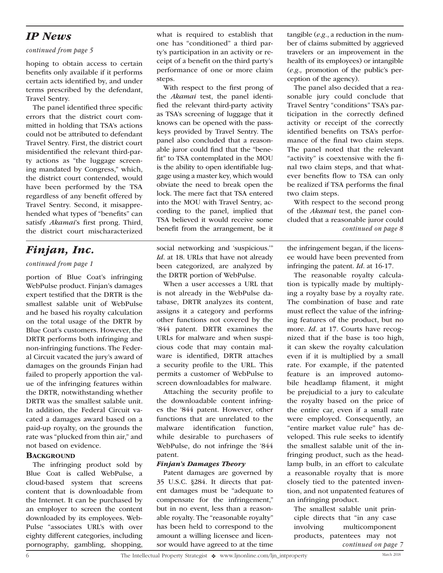# *IP News*

#### *continued from page 5*

hoping to obtain access to certain benefits only available if it performs certain acts identified by, and under terms prescribed by the defendant, Travel Sentry.

The panel identified three specific errors that the district court committed in holding that TSA's actions could not be attributed to defendant Travel Sentry. First, the district court misidentified the relevant third-party actions as "the luggage screening mandated by Congress," which, the district court contended, would have been performed by the TSA regardless of any benefit offered by Travel Sentry. Second, it misapprehended what types of "benefits" can satisfy *Akamai*'s first prong. Third, the district court mischaracterized

# *Finjan, Inc.*

## *continued from page 1*

portion of Blue Coat's infringing WebPulse product. Finjan's damages expert testified that the DRTR is the smallest salable unit of WebPulse and he based his royalty calculation on the total usage of the DRTR by Blue Coat's customers. However, the DRTR performs both infringing and non-infringing functions. The Federal Circuit vacated the jury's award of damages on the grounds Finjan had failed to properly apportion the value of the infringing features within the DRTR, notwithstanding whether DRTR was the smallest salable unit. In addition, the Federal Circuit vacated a damages award based on a paid-up royalty, on the grounds the rate was "plucked from thin air," and not based on evidence.

### **BACKGROUND**

The infringing product sold by Blue Coat is called WebPulse, a cloud-based system that screens content that is downloadable from the Internet. It can be purchased by an employer to screen the content downloaded by its employees. Web-Pulse "associates URL's with over eighty different categories, including pornography, gambling, shopping,

what is required to establish that one has "conditioned" a third party's participation in an activity or receipt of a benefit on the third party's performance of one or more claim steps.

With respect to the first prong of the *Akamai* test, the panel identified the relevant third-party activity as TSA's screening of luggage that it knows can be opened with the passkeys provided by Travel Sentry. The panel also concluded that a reasonable juror could find that the "benefit" to TSA contemplated in the MOU is the ability to open identifiable luggage using a master key, which would obviate the need to break open the lock. The mere fact that TSA entered into the MOU with Travel Sentry, according to the panel, implied that TSA believed it would receive some benefit from the arrangement, be it

social networking and 'suspicious.'" *Id*. at 18. URLs that have not already been categorized, are analyzed by the DRTR portion of WebPulse.

When a user accesses a URL that is not already in the WebPulse database, DRTR analyzes its content, assigns it a category and performs other functions not covered by the '844 patent. DRTR examines the URLs for malware and when suspicious code that may contain malware is identified, DRTR attaches a security profile to the URL. This permits a customer of WebPulse to screen downloadables for malware.

Attaching the security profile to the downloadable content infringes the '844 patent. However, other functions that are unrelated to the malware identification function, while desirable to purchasers of WebPulse, do not infringe the '844 patent.

### *Finjan's Damages Theory*

Patent damages are governed by 35 U.S.C. §284. It directs that patent damages must be "adequate to compensate for the infringement," but in no event, less than a reasonable royalty. The "reasonable royalty" has been held to correspond to the amount a willing licensee and licensor would have agreed to at the time tangible (*e.g.*, a reduction in the number of claims submitted by aggrieved travelers or an improvement in the health of its employees) or intangible (*e.g.,* promotion of the public's perception of the agency).

The panel also decided that a reasonable jury could conclude that Travel Sentry "conditions" TSA's participation in the correctly defined activity or receipt of the correctly identified benefits on TSA's performance of the final two claim steps. The panel noted that the relevant "activity" is coextensive with the final two claim steps, and that whatever benefits flow to TSA can only be realized if TSA performs the final two claim steps.

With respect to the second prong of the *Akamai* test, the panel concluded that a reasonable juror could *continued on page 8*

the infringement began, if the licensee would have been prevented from infringing the patent. *Id*. at 16-17.

The reasonable royalty calculation is typically made by multiplying a royalty base by a royalty rate. The combination of base and rate must reflect the value of the infringing features of the product, but no more. *Id*. at 17. Courts have recognized that if the base is too high, it can skew the royalty calculation even if it is multiplied by a small rate. For example, if the patented feature is an improved automobile headlamp filament, it might be prejudicial to a jury to calculate the royalty based on the price of the entire car, even if a small rate were employed. Consequently, an "entire market value rule" has developed. This rule seeks to identify the smallest salable unit of the infringing product, such as the headlamp bulb, in an effort to calculate a reasonable royalty that is more closely tied to the patented invention, and not unpatented features of an infringing product.

The smallest salable unit principle directs that "in any case involving multicomponent products, patentees may not *continued on page 7*